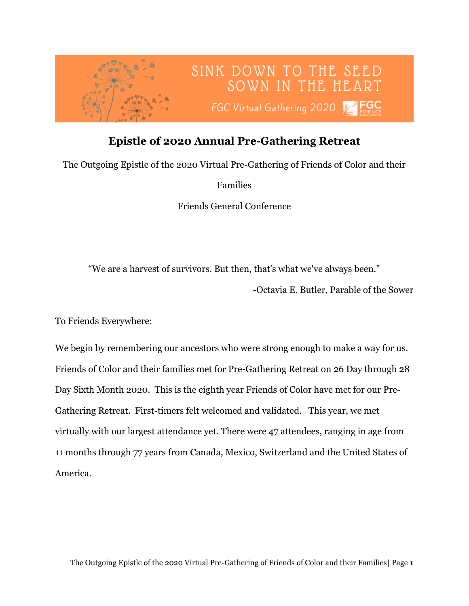

## **Epistle of 2020 Annual Pre-Gathering Retreat**

The Outgoing Epistle of the 2020 Virtual Pre-Gathering of Friends of Color and their

Families

Friends General Conference

"We are a harvest of survivors. But then, that's what we've always been."

-Octavia E. Butler, Parable of the Sower

To Friends Everywhere:

We begin by remembering our ancestors who were strong enough to make a way for us. Friends of Color and their families met for Pre-Gathering Retreat on 26 Day through 28 Day Sixth Month 2020. This is the eighth year Friends of Color have met for our Pre-Gathering Retreat. First-timers felt welcomed and validated. This year, we met virtually with our largest attendance yet. There were 47 attendees, ranging in age from 11 months through 77 years from Canada, Mexico, Switzerland and the United States of America.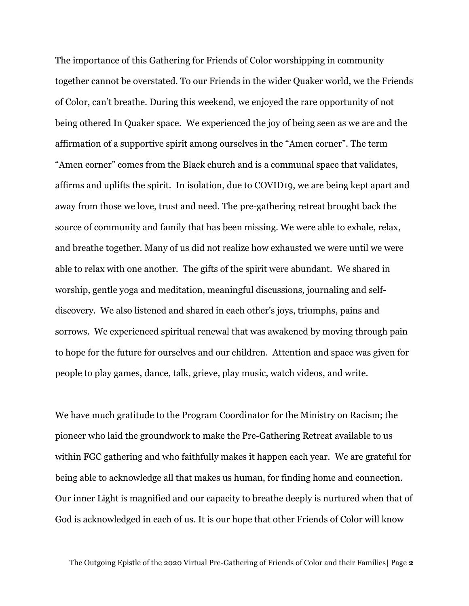The importance of this Gathering for Friends of Color worshipping in community together cannot be overstated. To our Friends in the wider Quaker world, we the Friends of Color, can't breathe. During this weekend, we enjoyed the rare opportunity of not being othered In Quaker space. We experienced the joy of being seen as we are and the affirmation of a supportive spirit among ourselves in the "Amen corner". The term "Amen corner" comes from the Black church and is a communal space that validates, affirms and uplifts the spirit. In isolation, due to COVID19, we are being kept apart and away from those we love, trust and need. The pre-gathering retreat brought back the source of community and family that has been missing. We were able to exhale, relax, and breathe together. Many of us did not realize how exhausted we were until we were able to relax with one another. The gifts of the spirit were abundant. We shared in worship, gentle yoga and meditation, meaningful discussions, journaling and selfdiscovery. We also listened and shared in each other's joys, triumphs, pains and sorrows. We experienced spiritual renewal that was awakened by moving through pain to hope for the future for ourselves and our children. Attention and space was given for people to play games, dance, talk, grieve, play music, watch videos, and write.

We have much gratitude to the Program Coordinator for the Ministry on Racism; the pioneer who laid the groundwork to make the Pre-Gathering Retreat available to us within FGC gathering and who faithfully makes it happen each year. We are grateful for being able to acknowledge all that makes us human, for finding home and connection. Our inner Light is magnified and our capacity to breathe deeply is nurtured when that of God is acknowledged in each of us. It is our hope that other Friends of Color will know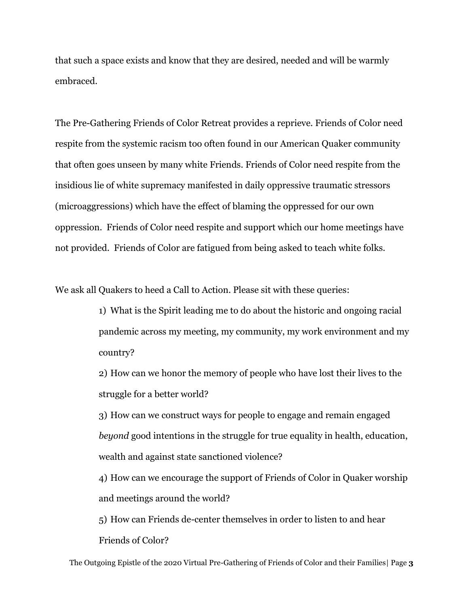that such a space exists and know that they are desired, needed and will be warmly embraced.

The Pre-Gathering Friends of Color Retreat provides a reprieve. Friends of Color need respite from the systemic racism too often found in our American Quaker community that often goes unseen by many white Friends. Friends of Color need respite from the insidious lie of white supremacy manifested in daily oppressive traumatic stressors (microaggressions) which have the effect of blaming the oppressed for our own oppression. Friends of Color need respite and support which our home meetings have not provided. Friends of Color are fatigued from being asked to teach white folks.

We ask all Quakers to heed a Call to Action. Please sit with these queries:

1) What is the Spirit leading me to do about the historic and ongoing racial pandemic across my meeting, my community, my work environment and my country?

2) How can we honor the memory of people who have lost their lives to the struggle for a better world?

3) How can we construct ways for people to engage and remain engaged *beyond* good intentions in the struggle for true equality in health, education, wealth and against state sanctioned violence?

4) How can we encourage the support of Friends of Color in Quaker worship and meetings around the world?

5) How can Friends de-center themselves in order to listen to and hear Friends of Color?